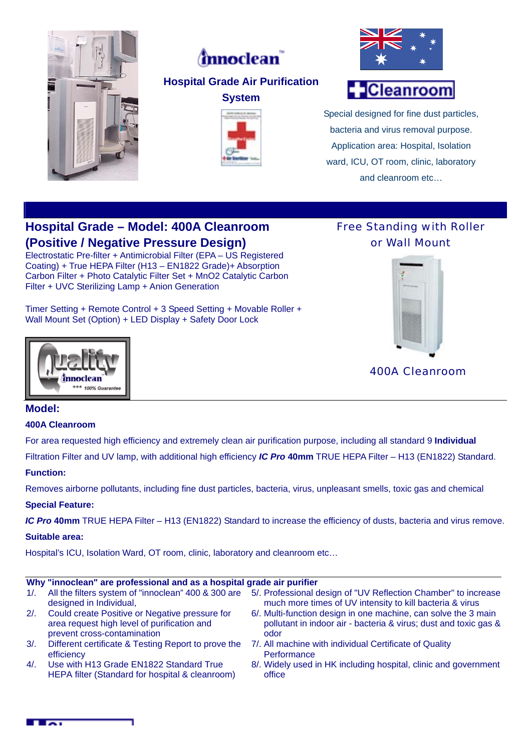



# **Cleanroom**

Special designed for fine dust particles, bacteria and virus removal purpose. Application area: Hospital, Isolation ward, ICU, OT room, clinic, laboratory and cleanroom etc…

# **Hospital Grade – Model: 400A Cleanroom (Positive / Negative Pressure Design)**

Electrostatic Pre-filter + Antimicrobial Filter (EPA – US Registered Coating) + True HEPA Filter (H13 – EN1822 Grade)+ Absorption Carbon Filter + Photo Catalytic Filter Set + MnO2 Catalytic Carbon Filter + UVC Sterilizing Lamp + Anion Generation

Timer Setting + Remote Control + 3 Speed Setting + Movable Roller + Wall Mount Set (Option) + LED Display + Safety Door Lock





Free Standing with Roller

400A Cleanroom

# **Model:**

#### **400A Cleanroom**

For area requested high efficiency and extremely clean air purification purpose, including all standard 9 **Individual**

Filtration Filter and UV lamp, with additional high efficiency *IC Pro* **40mm** TRUE HEPA Filter – H13 (EN1822) Standard.

#### **Function:**

Removes airborne pollutants, including fine dust particles, bacteria, virus, unpleasant smells, toxic gas and chemical

# **Special Feature:**

*IC Pro* **40mm** TRUE HEPA Filter – H13 (EN1822) Standard to increase the efficiency of dusts, bacteria and virus remove.

#### **Suitable area:**

Hospital's ICU, Isolation Ward, OT room, clinic, laboratory and cleanroom etc…

# **Why "innoclean" are professional and as a hospital grade air purifier**

| 1/2    | All the filters system of "innoclean" 400 & 300 are<br>designed in Individual,                                               | 5/. Professional design of "UV Reflection Chamber" to increase<br>much more times of UV intensity to kill bacteria & virus                 |
|--------|------------------------------------------------------------------------------------------------------------------------------|--------------------------------------------------------------------------------------------------------------------------------------------|
| 2/2    | Could create Positive or Negative pressure for<br>area request high level of purification and<br>prevent cross-contamination | 6/. Multi-function design in one machine, can solve the 3 main<br>pollutant in indoor air - bacteria & virus; dust and toxic gas &<br>odor |
| $3/$ . | Different certificate & Testing Report to prove the<br>efficiency                                                            | 7/. All machine with individual Certificate of Quality<br>Performance                                                                      |
| 4/1    | Use with H13 Grade EN1822 Standard True<br>HEPA filter (Standard for hospital & cleanroom)                                   | 8/. Widely used in HK including hospital, clinic and government<br>office                                                                  |